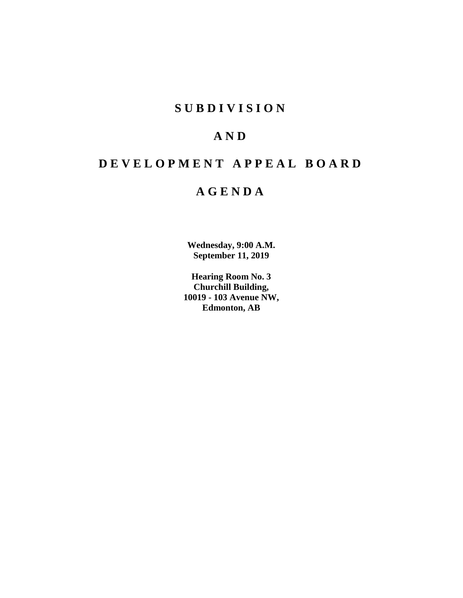# **SUBDIVISION**

# **AND**

# **DEVELOPMENT APPEAL BOARD**

# **AGENDA**

**Wednesday, 9:00 A.M. September 11, 2019**

**Hearing Room No. 3 Churchill Building, 10019 - 103 Avenue NW, Edmonton, AB**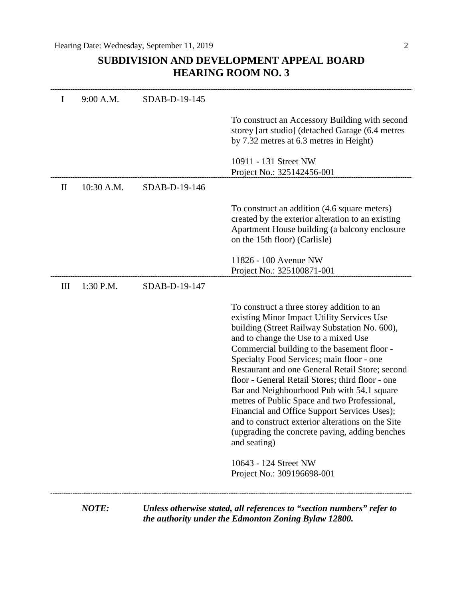# **SUBDIVISION AND DEVELOPMENT APPEAL BOARD HEARING ROOM NO. 3**

| I            | 9:00 A.M.  | SDAB-D-19-145 |                                                                                                                                                                                                                                                                                                                                                                                                                                                                                                                                                                                                                                                           |
|--------------|------------|---------------|-----------------------------------------------------------------------------------------------------------------------------------------------------------------------------------------------------------------------------------------------------------------------------------------------------------------------------------------------------------------------------------------------------------------------------------------------------------------------------------------------------------------------------------------------------------------------------------------------------------------------------------------------------------|
|              |            |               | To construct an Accessory Building with second<br>storey [art studio] (detached Garage (6.4 metres<br>by 7.32 metres at 6.3 metres in Height)                                                                                                                                                                                                                                                                                                                                                                                                                                                                                                             |
|              |            |               | 10911 - 131 Street NW<br>Project No.: 325142456-001                                                                                                                                                                                                                                                                                                                                                                                                                                                                                                                                                                                                       |
| $\mathbf{I}$ | 10:30 A.M. | SDAB-D-19-146 |                                                                                                                                                                                                                                                                                                                                                                                                                                                                                                                                                                                                                                                           |
|              |            |               | To construct an addition (4.6 square meters)<br>created by the exterior alteration to an existing<br>Apartment House building (a balcony enclosure<br>on the 15th floor) (Carlisle)                                                                                                                                                                                                                                                                                                                                                                                                                                                                       |
|              |            |               | 11826 - 100 Avenue NW<br>Project No.: 325100871-001                                                                                                                                                                                                                                                                                                                                                                                                                                                                                                                                                                                                       |
| Ш            | 1:30 P.M.  | SDAB-D-19-147 |                                                                                                                                                                                                                                                                                                                                                                                                                                                                                                                                                                                                                                                           |
|              |            |               | To construct a three storey addition to an<br>existing Minor Impact Utility Services Use<br>building (Street Railway Substation No. 600),<br>and to change the Use to a mixed Use<br>Commercial building to the basement floor -<br>Specialty Food Services; main floor - one<br>Restaurant and one General Retail Store; second<br>floor - General Retail Stores; third floor - one<br>Bar and Neighbourhood Pub with 54.1 square<br>metres of Public Space and two Professional,<br>Financial and Office Support Services Uses);<br>and to construct exterior alterations on the Site<br>(upgrading the concrete paving, adding benches<br>and seating) |
|              |            |               | 10643 - 124 Street NW<br>Project No.: 309196698-001                                                                                                                                                                                                                                                                                                                                                                                                                                                                                                                                                                                                       |

*the authority under the Edmonton Zoning Bylaw 12800.*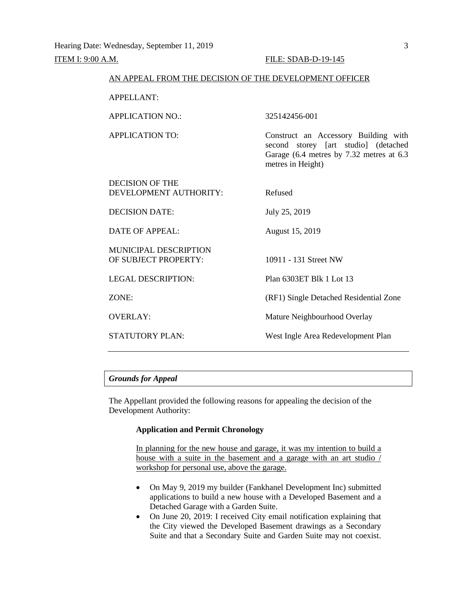| AN APPEAL FROM THE DECISION OF THE DEVELOPMENT OFFICER |                                                                                                                                               |
|--------------------------------------------------------|-----------------------------------------------------------------------------------------------------------------------------------------------|
| <b>APPELLANT:</b>                                      |                                                                                                                                               |
| <b>APPLICATION NO.:</b>                                | 325142456-001                                                                                                                                 |
| <b>APPLICATION TO:</b>                                 | Construct an Accessory Building with<br>second storey [art studio] (detached<br>Garage (6.4 metres by 7.32 metres at 6.3<br>metres in Height) |
| <b>DECISION OF THE</b><br>DEVELOPMENT AUTHORITY:       | Refused                                                                                                                                       |
| <b>DECISION DATE:</b>                                  | July 25, 2019                                                                                                                                 |
| DATE OF APPEAL:                                        | August 15, 2019                                                                                                                               |
| <b>MUNICIPAL DESCRIPTION</b><br>OF SUBJECT PROPERTY:   | 10911 - 131 Street NW                                                                                                                         |
| <b>LEGAL DESCRIPTION:</b>                              | Plan 6303ET Blk 1 Lot 13                                                                                                                      |
| ZONE:                                                  | (RF1) Single Detached Residential Zone                                                                                                        |
| <b>OVERLAY:</b>                                        | Mature Neighbourhood Overlay                                                                                                                  |
| <b>STATUTORY PLAN:</b>                                 | West Ingle Area Redevelopment Plan                                                                                                            |

# *Grounds for Appeal*

The Appellant provided the following reasons for appealing the decision of the Development Authority:

# **Application and Permit Chronology**

In planning for the new house and garage, it was my intention to build a house with a suite in the basement and a garage with an art studio / workshop for personal use, above the garage.

- On May 9, 2019 my builder (Fankhanel Development Inc) submitted applications to build a new house with a Developed Basement and a Detached Garage with a Garden Suite.
- On June 20, 2019: I received City email notification explaining that the City viewed the Developed Basement drawings as a Secondary Suite and that a Secondary Suite and Garden Suite may not coexist.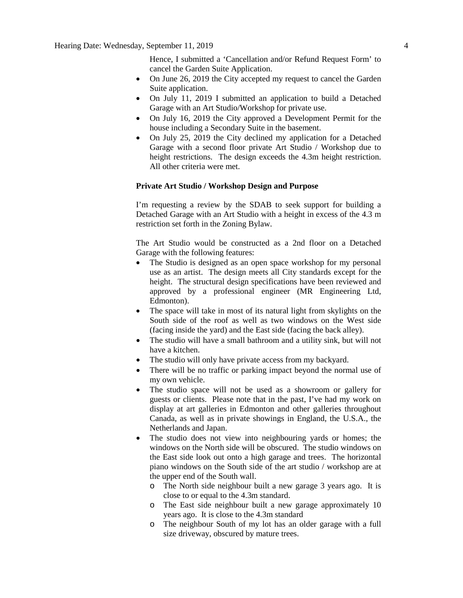Hence, I submitted a 'Cancellation and/or Refund Request Form' to cancel the Garden Suite Application.

- On June 26, 2019 the City accepted my request to cancel the Garden Suite application.
- On July 11, 2019 I submitted an application to build a Detached Garage with an Art Studio/Workshop for private use.
- On July 16, 2019 the City approved a Development Permit for the house including a Secondary Suite in the basement.
- On July 25, 2019 the City declined my application for a Detached Garage with a second floor private Art Studio / Workshop due to height restrictions. The design exceeds the 4.3m height restriction. All other criteria were met.

### **Private Art Studio / Workshop Design and Purpose**

I'm requesting a review by the SDAB to seek support for building a Detached Garage with an Art Studio with a height in excess of the 4.3 m restriction set forth in the Zoning Bylaw.

The Art Studio would be constructed as a 2nd floor on a Detached Garage with the following features:

- The Studio is designed as an open space workshop for my personal use as an artist. The design meets all City standards except for the height. The structural design specifications have been reviewed and approved by a professional engineer (MR Engineering Ltd, Edmonton).
- The space will take in most of its natural light from skylights on the South side of the roof as well as two windows on the West side (facing inside the yard) and the East side (facing the back alley).
- The studio will have a small bathroom and a utility sink, but will not have a kitchen.
- The studio will only have private access from my backyard.
- There will be no traffic or parking impact beyond the normal use of my own vehicle.
- The studio space will not be used as a showroom or gallery for guests or clients. Please note that in the past, I've had my work on display at art galleries in Edmonton and other galleries throughout Canada, as well as in private showings in England, the U.S.A., the Netherlands and Japan.
- The studio does not view into neighbouring vards or homes; the windows on the North side will be obscured. The studio windows on the East side look out onto a high garage and trees. The horizontal piano windows on the South side of the art studio / workshop are at the upper end of the South wall.
	- o The North side neighbour built a new garage 3 years ago. It is close to or equal to the 4.3m standard.
	- o The East side neighbour built a new garage approximately 10 years ago. It is close to the 4.3m standard
	- o The neighbour South of my lot has an older garage with a full size driveway, obscured by mature trees.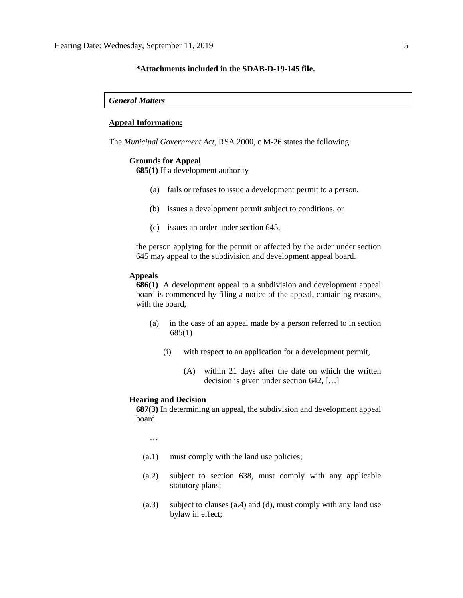# **\*Attachments included in the SDAB-D-19-145 file.**

*General Matters*

#### **Appeal Information:**

The *Municipal Government Act*, RSA 2000, c M-26 states the following:

#### **Grounds for Appeal**

**685(1)** If a development authority

- (a) fails or refuses to issue a development permit to a person,
- (b) issues a development permit subject to conditions, or
- (c) issues an order under section 645,

the person applying for the permit or affected by the order under section 645 may appeal to the subdivision and development appeal board.

#### **Appeals**

**686(1)** A development appeal to a subdivision and development appeal board is commenced by filing a notice of the appeal, containing reasons, with the board,

- (a) in the case of an appeal made by a person referred to in section 685(1)
	- (i) with respect to an application for a development permit,
		- (A) within 21 days after the date on which the written decision is given under section 642, […]

#### **Hearing and Decision**

**687(3)** In determining an appeal, the subdivision and development appeal board

…

- (a.1) must comply with the land use policies;
- (a.2) subject to section 638, must comply with any applicable statutory plans;
- (a.3) subject to clauses (a.4) and (d), must comply with any land use bylaw in effect;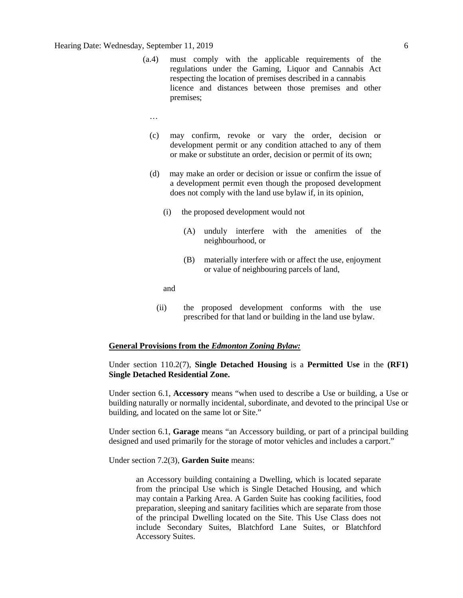- (a.4) must comply with the applicable requirements of the regulations under the Gaming, Liquor and Cannabis Act respecting the location of premises described in a cannabis licence and distances between those premises and other premises;
	- …
	- (c) may confirm, revoke or vary the order, decision or development permit or any condition attached to any of them or make or substitute an order, decision or permit of its own;
	- (d) may make an order or decision or issue or confirm the issue of a development permit even though the proposed development does not comply with the land use bylaw if, in its opinion,
		- (i) the proposed development would not
			- (A) unduly interfere with the amenities of the neighbourhood, or
			- (B) materially interfere with or affect the use, enjoyment or value of neighbouring parcels of land,

and

(ii) the proposed development conforms with the use prescribed for that land or building in the land use bylaw.

#### **General Provisions from the** *Edmonton Zoning Bylaw:*

# Under section 110.2(7), **Single Detached Housing** is a **Permitted Use** in the **(RF1) Single Detached Residential Zone.**

Under section 6.1, **Accessory** means "when used to describe a Use or building, a Use or building naturally or normally incidental, subordinate, and devoted to the principal Use or building, and located on the same lot or Site."

Under section 6.1, **Garage** means "an Accessory building, or part of a principal building designed and used primarily for the storage of motor vehicles and includes a carport."

Under section 7.2(3), **Garden Suite** means:

an Accessory building containing a Dwelling, which is located separate from the principal Use which is Single Detached Housing, and which may contain a Parking Area. A Garden Suite has cooking facilities, food preparation, sleeping and sanitary facilities which are separate from those of the principal Dwelling located on the Site. This Use Class does not include Secondary Suites, Blatchford Lane Suites, or Blatchford Accessory Suites.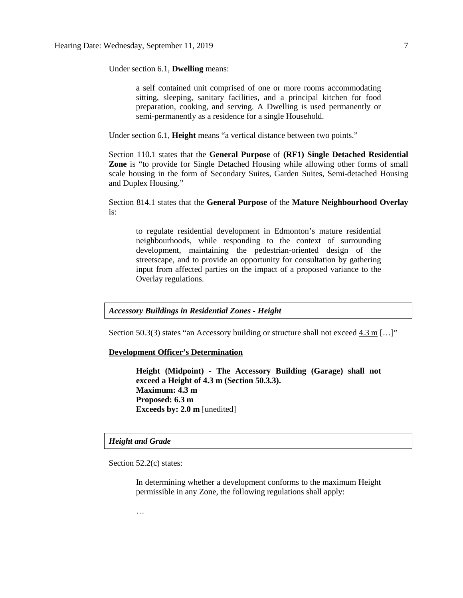Under section 6.1, **Dwelling** means:

a self contained unit comprised of one or more rooms accommodating sitting, sleeping, sanitary facilities, and a principal kitchen for food preparation, cooking, and serving. A Dwelling is used permanently or semi-permanently as a residence for a single Household.

Under section 6.1, **Height** means "a vertical distance between two points."

Section 110.1 states that the **General Purpose** of **(RF1) Single Detached Residential Zone** is "to provide for Single Detached Housing while allowing other forms of small scale housing in the form of Secondary Suites, Garden Suites, Semi-detached Housing and Duplex Housing."

Section 814.1 states that the **General Purpose** of the **Mature Neighbourhood Overlay** is:

to regulate residential development in Edmonton's mature residential neighbourhoods, while responding to the context of surrounding development, maintaining the pedestrian-oriented design of the streetscape, and to provide an opportunity for consultation by gathering input from affected parties on the impact of a proposed variance to the Overlay regulations.

*Accessory Buildings in Residential Zones - Height*

Section 50.3(3) states "an Accessory building or structure shall not exceed 4.3 m  $\lceil \ldots \rceil$ "

### **Development Officer's Determination**

**Height (Midpoint) - The Accessory Building (Garage) shall not exceed a Height of 4.3 m (Section 50.3.3). Maximum: 4.3 m Proposed: 6.3 m Exceeds by: 2.0 m** [unedited]

# *Height and Grade*

Section 52.2(c) states:

In determining whether a development conforms to the maximum Height permissible in any Zone, the following regulations shall apply:

…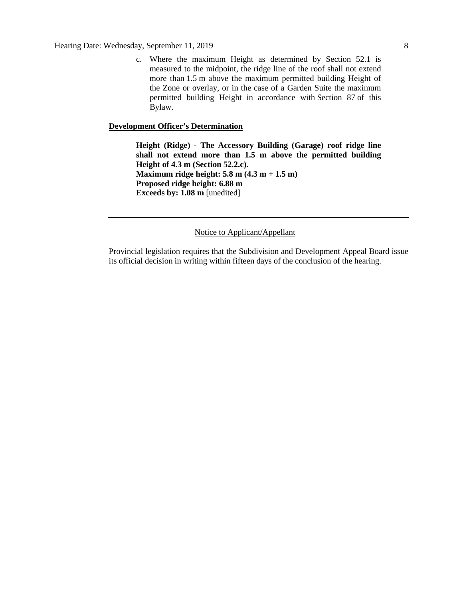Hearing Date: Wednesday, September 11, 2019 8

c. Where the maximum Height as determined by Section 52.1 is measured to the midpoint, the ridge line of the roof shall not extend more than  $1.5$  m above the maximum permitted building Height of the Zone or overlay, or in the case of a Garden Suite the maximum permitted building Height in accordance with [Section 87](http://webdocs.edmonton.ca/InfraPlan/zoningbylaw/ZoningBylaw/Part1/Special_Land/87_Garage_and_Garden_Suites.htm) of this Bylaw.

# **Development Officer's Determination**

**Height (Ridge) - The Accessory Building (Garage) roof ridge line shall not extend more than 1.5 m above the permitted building Height of 4.3 m (Section 52.2.c). Maximum ridge height: 5.8 m (4.3 m + 1.5 m) Proposed ridge height: 6.88 m Exceeds by: 1.08 m** [unedited]

# Notice to Applicant/Appellant

Provincial legislation requires that the Subdivision and Development Appeal Board issue its official decision in writing within fifteen days of the conclusion of the hearing.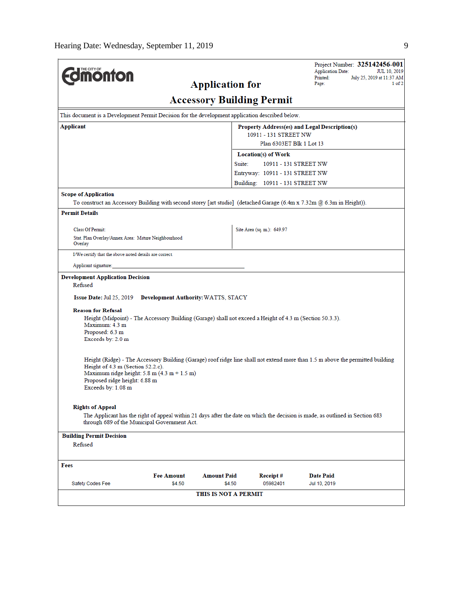|                                                                                                               |                                                                                                          |                        |                                                   | Project Number: 325142456-001<br><b>Application Date:</b><br>JUL 10, 2019                                                                                    |  |  |  |
|---------------------------------------------------------------------------------------------------------------|----------------------------------------------------------------------------------------------------------|------------------------|---------------------------------------------------|--------------------------------------------------------------------------------------------------------------------------------------------------------------|--|--|--|
| <b><i><u><u><b>MONTON</b></u></u></i></b>                                                                     |                                                                                                          |                        |                                                   | Printed:<br>July 25, 2019 at 11:37 AM                                                                                                                        |  |  |  |
|                                                                                                               |                                                                                                          | <b>Application for</b> |                                                   | Page:<br>1 of 2                                                                                                                                              |  |  |  |
| <b>Accessory Building Permit</b>                                                                              |                                                                                                          |                        |                                                   |                                                                                                                                                              |  |  |  |
| This document is a Development Permit Decision for the development application described below.               |                                                                                                          |                        |                                                   |                                                                                                                                                              |  |  |  |
| Applicant<br>Property Address(es) and Legal Description(s)                                                    |                                                                                                          |                        |                                                   |                                                                                                                                                              |  |  |  |
|                                                                                                               |                                                                                                          |                        | 10911 - 131 STREET NW<br>Plan 6303ET Blk 1 Lot 13 |                                                                                                                                                              |  |  |  |
|                                                                                                               | <b>Location(s) of Work</b>                                                                               |                        |                                                   |                                                                                                                                                              |  |  |  |
|                                                                                                               |                                                                                                          | Suite:                 |                                                   | 10911 - 131 STREET NW                                                                                                                                        |  |  |  |
|                                                                                                               |                                                                                                          |                        | Entryway: 10911 - 131 STREET NW                   |                                                                                                                                                              |  |  |  |
|                                                                                                               |                                                                                                          |                        | Building: 10911 - 131 STREET NW                   |                                                                                                                                                              |  |  |  |
| <b>Scope of Application</b>                                                                                   |                                                                                                          |                        |                                                   |                                                                                                                                                              |  |  |  |
|                                                                                                               |                                                                                                          |                        |                                                   | To construct an Accessory Building with second storey [art studio] (detached Garage $(6.4 \text{ m x } 7.32 \text{ m } \text{@ } 6.3 \text{ m m }$ Height)). |  |  |  |
| <b>Permit Details</b>                                                                                         |                                                                                                          |                        |                                                   |                                                                                                                                                              |  |  |  |
| <b>Class Of Permit:</b>                                                                                       |                                                                                                          |                        | Site Area (sq. m.): 649.97                        |                                                                                                                                                              |  |  |  |
| Stat. Plan Overlay/Annex Area: Mature Neighbourhood<br>Overlay                                                |                                                                                                          |                        |                                                   |                                                                                                                                                              |  |  |  |
| I/We certify that the above noted details are correct.                                                        |                                                                                                          |                        |                                                   |                                                                                                                                                              |  |  |  |
| Applicant signature:                                                                                          |                                                                                                          |                        |                                                   |                                                                                                                                                              |  |  |  |
| <b>Development Application Decision</b>                                                                       |                                                                                                          |                        |                                                   |                                                                                                                                                              |  |  |  |
| Refused                                                                                                       |                                                                                                          |                        |                                                   |                                                                                                                                                              |  |  |  |
| <b>Issue Date: Jul 25, 2019</b>                                                                               | Development Authority: WATTS, STACY                                                                      |                        |                                                   |                                                                                                                                                              |  |  |  |
| <b>Reason for Refusal</b><br>Maximum: 4.3 m<br>Proposed: 6.3 m<br>Exceeds by: 2.0 m                           | Height (Midpoint) - The Accessory Building (Garage) shall not exceed a Height of 4.3 m (Section 50.3.3). |                        |                                                   |                                                                                                                                                              |  |  |  |
| Height of $4.3 \text{ m}$ (Section $52.2 \text{ c}$ ).<br>Proposed ridge height: 6.88 m<br>Exceeds by: 1.08 m | Maximum ridge height: $5.8 \text{ m} (4.3 \text{ m} + 1.5 \text{ m})$                                    |                        |                                                   | Height (Ridge) - The Accessory Building (Garage) roof ridge line shall not extend more than 1.5 m above the permitted building                               |  |  |  |
| <b>Rights of Appeal</b>                                                                                       | through 689 of the Municipal Government Act.                                                             |                        |                                                   | The Applicant has the right of appeal within 21 days after the date on which the decision is made, as outlined in Section 683                                |  |  |  |
| <b>Building Permit Decision</b><br>Refused                                                                    |                                                                                                          |                        |                                                   |                                                                                                                                                              |  |  |  |
|                                                                                                               |                                                                                                          |                        |                                                   |                                                                                                                                                              |  |  |  |
| Fees                                                                                                          |                                                                                                          |                        |                                                   |                                                                                                                                                              |  |  |  |
|                                                                                                               | <b>Fee Amount</b>                                                                                        | <b>Amount Paid</b>     | Receipt#                                          | Date Paid                                                                                                                                                    |  |  |  |
| Safety Codes Fee                                                                                              | \$4.50                                                                                                   | \$4.50                 | 05982401                                          | Jul 10, 2019                                                                                                                                                 |  |  |  |
|                                                                                                               |                                                                                                          | THIS IS NOT A PERMIT   |                                                   |                                                                                                                                                              |  |  |  |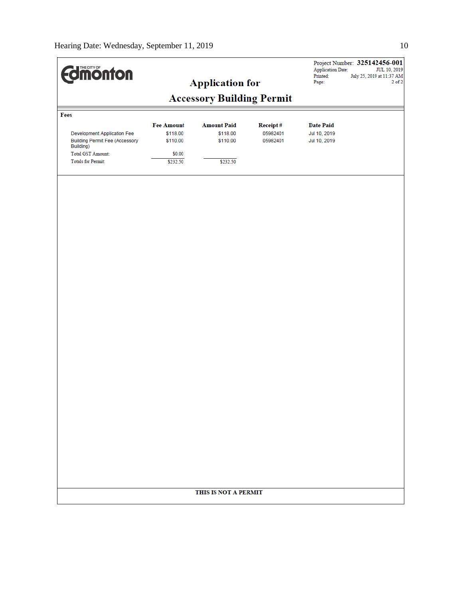| <b><i><u>dinonton</u></i></b>                      |                   |                                  |          | <b>Application Date:</b><br>Printed: | Project Number: 325142456-001<br>JUL 10, 2019<br>July 25, 2019 at 11:37 AM |
|----------------------------------------------------|-------------------|----------------------------------|----------|--------------------------------------|----------------------------------------------------------------------------|
|                                                    |                   | <b>Application for</b>           |          | Page:                                | $2$ of $2$                                                                 |
|                                                    |                   | <b>Accessory Building Permit</b> |          |                                      |                                                                            |
| Fees                                               |                   |                                  |          |                                      |                                                                            |
|                                                    | <b>Fee Amount</b> | <b>Amount Paid</b>               | Receipt# | <b>Date Paid</b>                     |                                                                            |
| <b>Development Application Fee</b>                 | \$118.00          | \$118.00                         | 05982401 | Jul 10, 2019                         |                                                                            |
| <b>Building Permit Fee (Accessory</b><br>Building) | \$110.00          | \$110.00                         | 05982401 | Jul 10, 2019                         |                                                                            |
| <b>Total GST Amount:</b>                           | \$0.00            |                                  |          |                                      |                                                                            |
| <b>Totals for Permit:</b>                          | \$232.50          | \$232.50                         |          |                                      |                                                                            |
|                                                    |                   |                                  |          |                                      |                                                                            |
|                                                    |                   |                                  |          |                                      |                                                                            |
|                                                    |                   |                                  |          |                                      |                                                                            |
|                                                    |                   |                                  |          |                                      |                                                                            |
|                                                    |                   |                                  |          |                                      |                                                                            |
|                                                    |                   |                                  |          |                                      |                                                                            |
|                                                    |                   |                                  |          |                                      |                                                                            |
|                                                    |                   |                                  |          |                                      |                                                                            |
|                                                    |                   |                                  |          |                                      |                                                                            |
|                                                    |                   |                                  |          |                                      |                                                                            |
|                                                    |                   |                                  |          |                                      |                                                                            |
|                                                    |                   |                                  |          |                                      |                                                                            |
|                                                    |                   |                                  |          |                                      |                                                                            |
|                                                    |                   |                                  |          |                                      |                                                                            |
|                                                    |                   |                                  |          |                                      |                                                                            |
|                                                    |                   |                                  |          |                                      |                                                                            |
|                                                    |                   |                                  |          |                                      |                                                                            |
|                                                    |                   |                                  |          |                                      |                                                                            |
|                                                    |                   |                                  |          |                                      |                                                                            |
|                                                    |                   |                                  |          |                                      |                                                                            |
|                                                    |                   |                                  |          |                                      |                                                                            |
|                                                    |                   |                                  |          |                                      |                                                                            |
|                                                    |                   |                                  |          |                                      |                                                                            |
|                                                    |                   | THIS IS NOT A PERMIT             |          |                                      |                                                                            |
|                                                    |                   |                                  |          |                                      |                                                                            |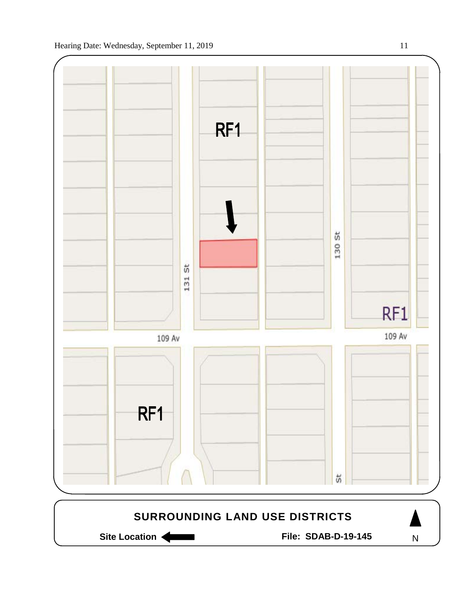

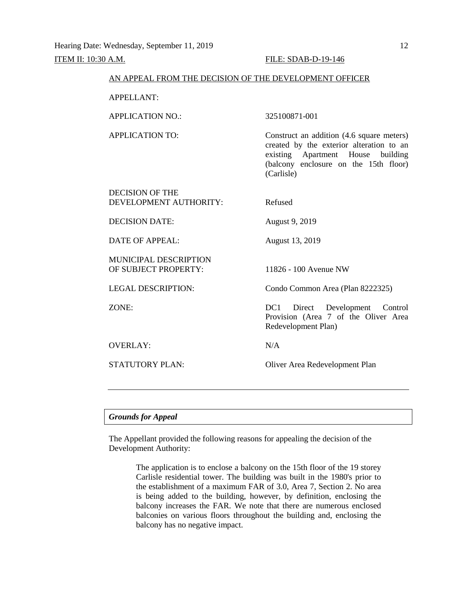#### AN APPEAL FROM THE DECISION OF THE DEVELOPMENT OFFICER

APPELLANT:

APPLICATION NO.: 325100871-001

APPLICATION TO: Construct an addition (4.6 square meters) created by the exterior alteration to an existing Apartment House building (balcony enclosure on the 15th floor) (Carlisle)

DECISION OF THE DEVELOPMENT AUTHORITY: Refused

DECISION DATE: August 9, 2019

DATE OF APPEAL: August 13, 2019

MUNICIPAL DESCRIPTION OF SUBJECT PROPERTY: 11826 - 100 Avenue NW

OVERLAY: N/A

LEGAL DESCRIPTION: Condo Common Area (Plan 8222325)

ZONE: DC1 Direct Development Control Provision (Area 7 of the Oliver Area Redevelopment Plan)

STATUTORY PLAN: Oliver Area Redevelopment Plan

#### *Grounds for Appeal*

The Appellant provided the following reasons for appealing the decision of the Development Authority:

> The application is to enclose a balcony on the 15th floor of the 19 storey Carlisle residential tower. The building was built in the 1980's prior to the establishment of a maximum FAR of 3.0, Area 7, Section 2. No area is being added to the building, however, by definition, enclosing the balcony increases the FAR. We note that there are numerous enclosed balconies on various floors throughout the building and, enclosing the balcony has no negative impact.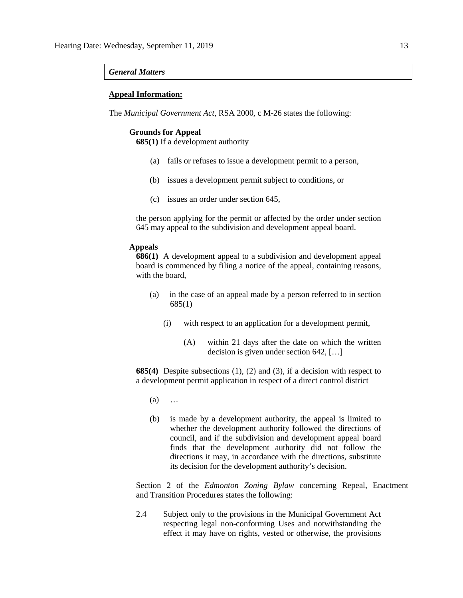#### *General Matters*

### **Appeal Information:**

The *Municipal Government Act*, RSA 2000, c M-26 states the following:

## **Grounds for Appeal**

**685(1)** If a development authority

- (a) fails or refuses to issue a development permit to a person,
- (b) issues a development permit subject to conditions, or
- (c) issues an order under section 645,

the person applying for the permit or affected by the order under section 645 may appeal to the subdivision and development appeal board.

#### **Appeals**

**686(1)** A development appeal to a subdivision and development appeal board is commenced by filing a notice of the appeal, containing reasons, with the board,

- (a) in the case of an appeal made by a person referred to in section 685(1)
	- (i) with respect to an application for a development permit,
		- (A) within 21 days after the date on which the written decision is given under section 642, […]

**685(4)** Despite subsections (1), (2) and (3), if a decision with respect to a development permit application in respect of a direct control district

- (a) …
- (b) is made by a development authority, the appeal is limited to whether the development authority followed the directions of council, and if the subdivision and development appeal board finds that the development authority did not follow the directions it may, in accordance with the directions, substitute its decision for the development authority's decision.

Section 2 of the *Edmonton Zoning Bylaw* concerning Repeal, Enactment and Transition Procedures states the following:

2.4 Subject only to the provisions in the Municipal Government Act respecting legal non-conforming Uses and notwithstanding the effect it may have on rights, vested or otherwise, the provisions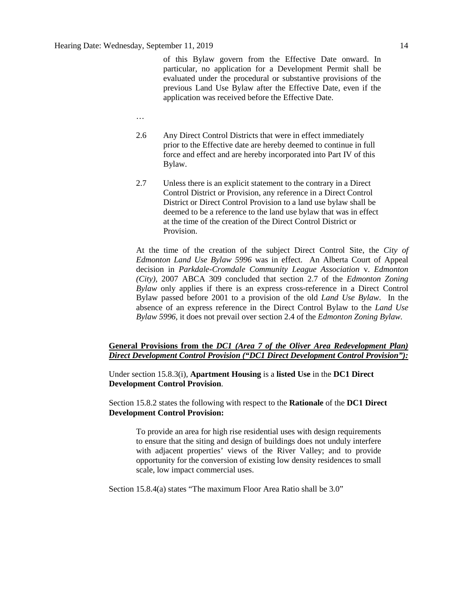of this Bylaw govern from the Effective Date onward. In particular, no application for a Development Permit shall be evaluated under the procedural or substantive provisions of the previous Land Use Bylaw after the Effective Date, even if the application was received before the Effective Date.

- …
- 2.6 Any Direct Control Districts that were in effect immediately prior to the Effective date are hereby deemed to continue in full force and effect and are hereby incorporated into Part IV of this Bylaw.
- 2.7 Unless there is an explicit statement to the contrary in a Direct Control District or Provision, any reference in a Direct Control District or Direct Control Provision to a land use bylaw shall be deemed to be a reference to the land use bylaw that was in effect at the time of the creation of the Direct Control District or Provision.

At the time of the creation of the subject Direct Control Site, the *City of Edmonton Land Use Bylaw 5996* was in effect. An Alberta Court of Appeal decision in *Parkdale-Cromdale Community League Association* v. *Edmonton (City),* 2007 ABCA 309 concluded that section 2.7 of the *Edmonton Zoning Bylaw* only applies if there is an express cross-reference in a Direct Control Bylaw passed before 2001 to a provision of the old *Land Use Bylaw*. In the absence of an express reference in the Direct Control Bylaw to the *Land Use Bylaw 5996*, it does not prevail over section 2.4 of the *Edmonton Zoning Bylaw.*

# **General Provisions from the** *DC1 (Area 7 of the Oliver Area Redevelopment Plan) Direct Development Control Provision ("DC1 Direct Development Control Provision"):*

Under section 15.8.3(i), **Apartment Housing** is a **listed Use** in the **DC1 Direct Development Control Provision**.

Section 15.8.2 states the following with respect to the **Rationale** of the **DC1 Direct Development Control Provision:**

To provide an area for high rise residential uses with design requirements to ensure that the siting and design of buildings does not unduly interfere with adjacent properties' views of the River Valley; and to provide opportunity for the conversion of existing low density residences to small scale, low impact commercial uses.

Section 15.8.4(a) states "The maximum Floor Area Ratio shall be 3.0"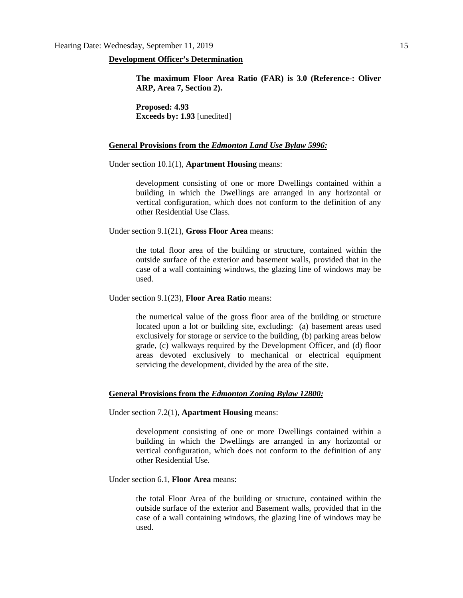#### **Development Officer's Determination**

**The maximum Floor Area Ratio (FAR) is 3.0 (Reference-: Oliver ARP, Area 7, Section 2).**

**Proposed: 4.93 Exceeds by: 1.93** [unedited]

#### **General Provisions from the** *Edmonton Land Use Bylaw 5996:*

Under section 10.1(1), **Apartment Housing** means:

development consisting of one or more Dwellings contained within a building in which the Dwellings are arranged in any horizontal or vertical configuration, which does not conform to the definition of any other Residential Use Class.

Under section 9.1(21), **Gross Floor Area** means:

the total floor area of the building or structure, contained within the outside surface of the exterior and basement walls, provided that in the case of a wall containing windows, the glazing line of windows may be used.

Under section 9.1(23), **Floor Area Ratio** means:

the numerical value of the gross floor area of the building or structure located upon a lot or building site, excluding: (a) basement areas used exclusively for storage or service to the building, (b) parking areas below grade, (c) walkways required by the Development Officer, and (d) floor areas devoted exclusively to mechanical or electrical equipment servicing the development, divided by the area of the site.

#### **General Provisions from the** *Edmonton Zoning Bylaw 12800:*

Under section 7.2(1), **Apartment Housing** means:

development consisting of one or more Dwellings contained within a building in which the Dwellings are arranged in any horizontal or vertical configuration, which does not conform to the definition of any other Residential Use.

Under section 6.1, **Floor Area** means:

the total Floor Area of the building or structure, contained within the outside surface of the exterior and Basement walls, provided that in the case of a wall containing windows, the glazing line of windows may be used.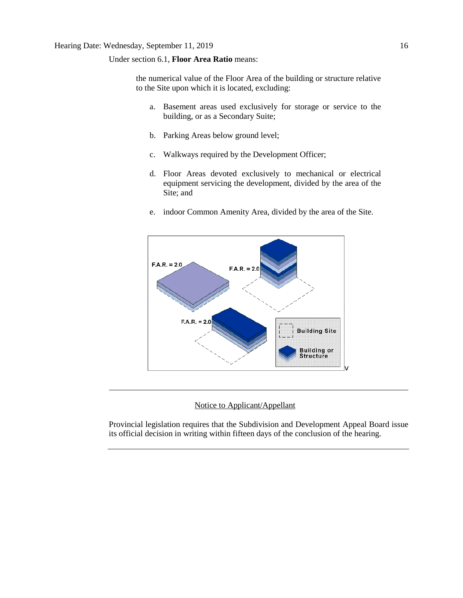## Under section 6.1, **Floor Area Ratio** means:

the numerical value of the Floor Area of the building or structure relative to the Site upon which it is located, excluding:

- a. Basement areas used exclusively for storage or service to the building, or as a Secondary Suite;
- b. Parking Areas below ground level;
- c. Walkways required by the Development Officer;
- d. Floor Areas devoted exclusively to mechanical or electrical equipment servicing the development, divided by the area of the Site; and
- e. indoor Common Amenity Area, divided by the area of the Site.



# Notice to Applicant/Appellant

Provincial legislation requires that the Subdivision and Development Appeal Board issue its official decision in writing within fifteen days of the conclusion of the hearing.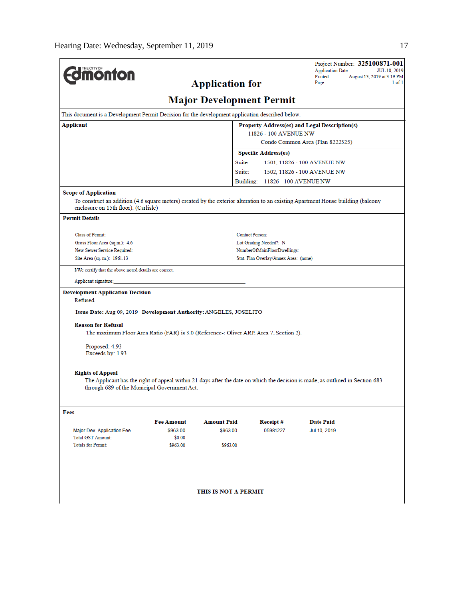| <b>Imonton</b>                                                                                                                                                                                          |                                                                                                                               | Project Number: 325100871-001<br><b>Application Date:</b><br><b>JUL 10, 2019</b><br>Printed:<br>August 13, 2019 at 3:19 PM<br>Page:<br>$1$ of $1$ |
|---------------------------------------------------------------------------------------------------------------------------------------------------------------------------------------------------------|-------------------------------------------------------------------------------------------------------------------------------|---------------------------------------------------------------------------------------------------------------------------------------------------|
|                                                                                                                                                                                                         | <b>Application for</b>                                                                                                        |                                                                                                                                                   |
|                                                                                                                                                                                                         | <b>Major Development Permit</b>                                                                                               |                                                                                                                                                   |
| This document is a Development Permit Decision for the development application described below.                                                                                                         |                                                                                                                               |                                                                                                                                                   |
| Applicant                                                                                                                                                                                               |                                                                                                                               | Property Address(es) and Legal Description(s)                                                                                                     |
|                                                                                                                                                                                                         | 11826 - 100 AVENUE NW                                                                                                         | Condo Common Area (Plan 8222325)                                                                                                                  |
|                                                                                                                                                                                                         | <b>Specific Address(es)</b>                                                                                                   |                                                                                                                                                   |
|                                                                                                                                                                                                         | Suite:                                                                                                                        | 1501, 11826 - 100 AVENUE NW                                                                                                                       |
|                                                                                                                                                                                                         | Suite:                                                                                                                        |                                                                                                                                                   |
|                                                                                                                                                                                                         | Building: 11826 - 100 AVENUE NW                                                                                               | 1502, 11826 - 100 AVENUE NW                                                                                                                       |
|                                                                                                                                                                                                         |                                                                                                                               |                                                                                                                                                   |
| <b>Scope of Application</b><br>To construct an addition (4.6 square meters) created by the exterior alteration to an existing Apartment House building (balcony<br>enclosure on 15th floor). (Carlisle) |                                                                                                                               |                                                                                                                                                   |
| <b>Permit Details</b>                                                                                                                                                                                   |                                                                                                                               |                                                                                                                                                   |
| Class of Permit:                                                                                                                                                                                        | <b>Contact Person:</b>                                                                                                        |                                                                                                                                                   |
| Gross Floor Area (sq.m.): 4.6                                                                                                                                                                           | Lot Grading Needed?: N                                                                                                        |                                                                                                                                                   |
| New Sewer Service Required:                                                                                                                                                                             | NumberOfMainFloorDwellings:                                                                                                   |                                                                                                                                                   |
| Site Area (sq. m.): 1961.13                                                                                                                                                                             | Stat. Plan Overlay/Annex Area: (none)                                                                                         |                                                                                                                                                   |
| I/We certify that the above noted details are correct.                                                                                                                                                  |                                                                                                                               |                                                                                                                                                   |
| Applicant signature:                                                                                                                                                                                    |                                                                                                                               |                                                                                                                                                   |
| <b>Development Application Decision</b><br>Refused                                                                                                                                                      |                                                                                                                               |                                                                                                                                                   |
| Issue Date: Aug 09, 2019 Development Authority: ANGELES, JOSELITO                                                                                                                                       |                                                                                                                               |                                                                                                                                                   |
| <b>Reason for Refusal</b>                                                                                                                                                                               | The maximum Floor Area Ratio (FAR) is 3.0 (Reference-: Oliver ARP, Area 7, Section 2).                                        |                                                                                                                                                   |
| Proposed: 4.93<br>Exceeds by: 1.93                                                                                                                                                                      |                                                                                                                               |                                                                                                                                                   |
| <b>Rights of Appeal</b>                                                                                                                                                                                 | The Applicant has the right of appeal within 21 days after the date on which the decision is made, as outlined in Section 683 |                                                                                                                                                   |
| through 689 of the Municipal Government Act.                                                                                                                                                            |                                                                                                                               |                                                                                                                                                   |
| Fees                                                                                                                                                                                                    |                                                                                                                               |                                                                                                                                                   |
| <b>Fee Amount</b>                                                                                                                                                                                       | <b>Amount Paid</b><br>Receipt#                                                                                                | <b>Date Paid</b>                                                                                                                                  |
| \$963.00<br>Major Dev. Application Fee                                                                                                                                                                  | \$963.00<br>05981227                                                                                                          | Jul 10, 2019                                                                                                                                      |
| <b>Total GST Amount:</b><br>\$0.00                                                                                                                                                                      |                                                                                                                               |                                                                                                                                                   |
| <b>Totals for Permit:</b><br>\$963.00                                                                                                                                                                   | \$963.00                                                                                                                      |                                                                                                                                                   |
|                                                                                                                                                                                                         |                                                                                                                               |                                                                                                                                                   |
|                                                                                                                                                                                                         | THIS IS NOT A PERMIT                                                                                                          |                                                                                                                                                   |
|                                                                                                                                                                                                         |                                                                                                                               |                                                                                                                                                   |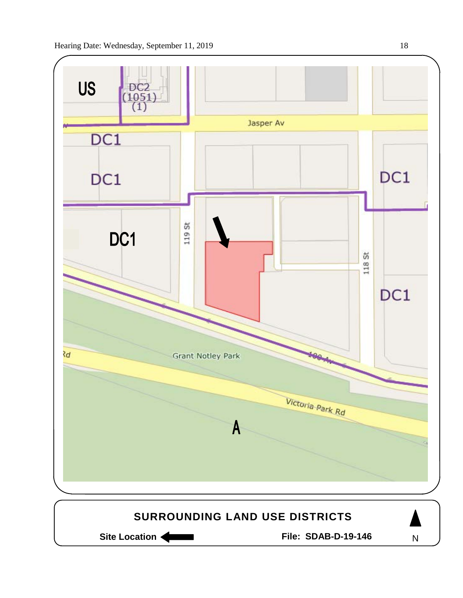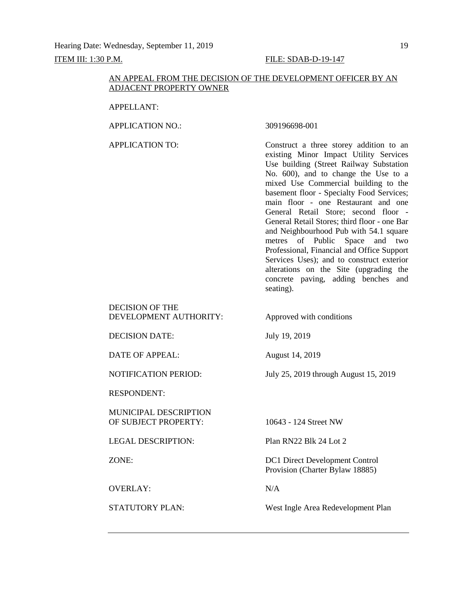#### AN APPEAL FROM THE DECISION OF THE DEVELOPMENT OFFICER BY AN ADJACENT PROPERTY OWNER

#### APPELLANT:

APPLICATION NO.: 309196698-001

APPLICATION TO: Construct a three storey addition to an existing Minor Impact Utility Services Use building (Street Railway Substation No. 600), and to change the Use to a mixed Use Commercial building to the basement floor - Specialty Food Services; main floor - one Restaurant and one General Retail Store; second floor - General Retail Stores; third floor - one Bar and Neighbourhood Pub with 54.1 square metres of Public Space and two Professional, Financial and Office Support Services Uses); and to construct exterior alterations on the Site (upgrading the concrete paving, adding benches and seating).

DECISION OF THE DEVELOPMENT AUTHORITY: Approved with conditions

DECISION DATE: July 19, 2019

DATE OF APPEAL: August 14, 2019

NOTIFICATION PERIOD: July 25, 2019 through August 15, 2019

RESPONDENT:

MUNICIPAL DESCRIPTION OF SUBJECT PROPERTY: 10643 - 124 Street NW

LEGAL DESCRIPTION: Plan RN22 Blk 24 Lot 2

OVERLAY: N/A

ZONE: DC1 Direct Development Control Provision (Charter Bylaw 18885)

STATUTORY PLAN: West Ingle Area Redevelopment Plan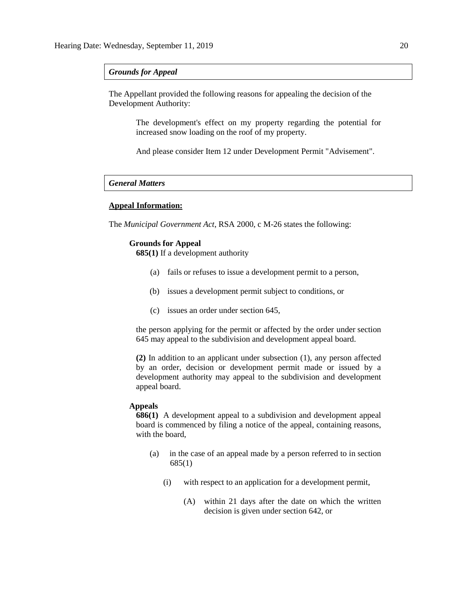### *Grounds for Appeal*

The Appellant provided the following reasons for appealing the decision of the Development Authority:

> The development's effect on my property regarding the potential for increased snow loading on the roof of my property.

And please consider Item 12 under Development Permit "Advisement".

# *General Matters*

# **Appeal Information:**

The *Municipal Government Act*, RSA 2000, c M-26 states the following:

#### **Grounds for Appeal**

**685(1)** If a development authority

- (a) fails or refuses to issue a development permit to a person,
- (b) issues a development permit subject to conditions, or
- (c) issues an order under section 645,

the person applying for the permit or affected by the order under section 645 may appeal to the subdivision and development appeal board.

**(2)** In addition to an applicant under subsection (1), any person affected by an order, decision or development permit made or issued by a development authority may appeal to the subdivision and development appeal board.

#### **Appeals**

**686(1)** A development appeal to a subdivision and development appeal board is commenced by filing a notice of the appeal, containing reasons, with the board,

- (a) in the case of an appeal made by a person referred to in section 685(1)
	- (i) with respect to an application for a development permit,
		- (A) within 21 days after the date on which the written decision is given under section 642, or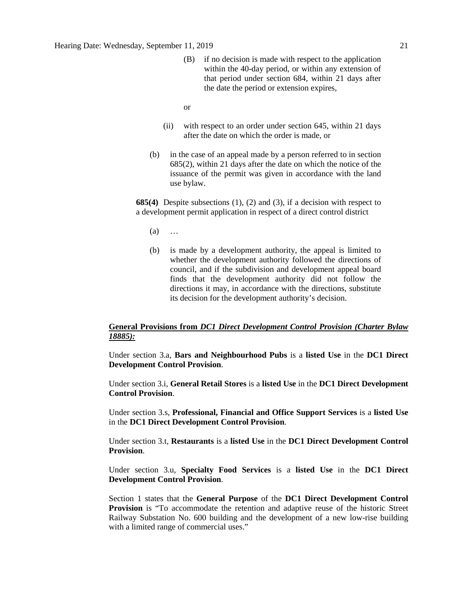- (B) if no decision is made with respect to the application within the 40-day period, or within any extension of that period under section 684, within 21 days after the date the period or extension expires,
- or
- (ii) with respect to an order under section 645, within 21 days after the date on which the order is made, or
- (b) in the case of an appeal made by a person referred to in section 685(2), within 21 days after the date on which the notice of the issuance of the permit was given in accordance with the land use bylaw.

**685(4)** Despite subsections (1), (2) and (3), if a decision with respect to a development permit application in respect of a direct control district

- (a) …
- (b) is made by a development authority, the appeal is limited to whether the development authority followed the directions of council, and if the subdivision and development appeal board finds that the development authority did not follow the directions it may, in accordance with the directions, substitute its decision for the development authority's decision.

# **General Provisions from** *DC1 Direct Development Control Provision (Charter Bylaw 18885):*

Under section 3.a, **Bars and Neighbourhood Pubs** is a **listed Use** in the **DC1 Direct Development Control Provision**.

Under section 3.i, **General Retail Stores** is a **listed Use** in the **DC1 Direct Development Control Provision**.

Under section 3.s, **Professional, Financial and Office Support Services** is a **listed Use** in the **DC1 Direct Development Control Provision**.

Under section 3.t, **Restaurants** is a **listed Use** in the **DC1 Direct Development Control Provision**.

Under section 3.u, **Specialty Food Services** is a **listed Use** in the **DC1 Direct Development Control Provision**.

Section 1 states that the **General Purpose** of the **DC1 Direct Development Control Provision** is "To accommodate the retention and adaptive reuse of the historic Street Railway Substation No. 600 building and the development of a new low-rise building with a limited range of commercial uses."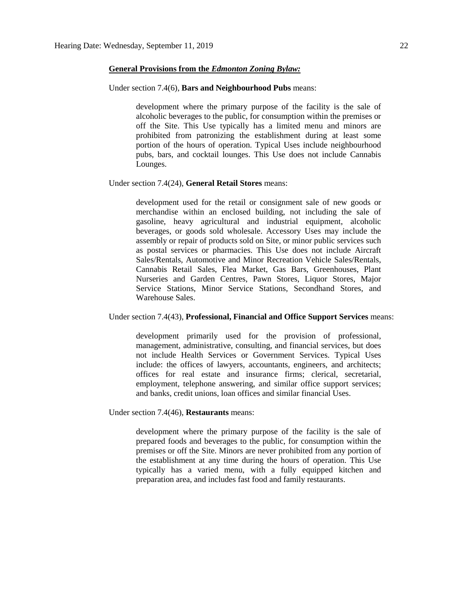#### **General Provisions from the** *Edmonton Zoning Bylaw:*

#### Under section 7.4(6), **Bars and Neighbourhood Pubs** means:

development where the primary purpose of the facility is the sale of alcoholic beverages to the public, for consumption within the premises or off the Site. This Use typically has a limited menu and minors are prohibited from patronizing the establishment during at least some portion of the hours of operation. Typical Uses include neighbourhood pubs, bars, and cocktail lounges. This Use does not include Cannabis Lounges.

#### Under section 7.4(24), **General Retail Stores** means:

development used for the retail or consignment sale of new goods or merchandise within an enclosed building, not including the sale of gasoline, heavy agricultural and industrial equipment, alcoholic beverages, or goods sold wholesale. Accessory Uses may include the assembly or repair of products sold on Site, or minor public services such as postal services or pharmacies. This Use does not include Aircraft Sales/Rentals, Automotive and Minor Recreation Vehicle Sales/Rentals, Cannabis Retail Sales, Flea Market, Gas Bars, Greenhouses, Plant Nurseries and Garden Centres, Pawn Stores, Liquor Stores, Major Service Stations, Minor Service Stations, Secondhand Stores, and Warehouse Sales.

#### Under section 7.4(43), **Professional, Financial and Office Support Services** means:

development primarily used for the provision of professional, management, administrative, consulting, and financial services, but does not include Health Services or Government Services. Typical Uses include: the offices of lawyers, accountants, engineers, and architects; offices for real estate and insurance firms; clerical, secretarial, employment, telephone answering, and similar office support services; and banks, credit unions, loan offices and similar financial Uses.

Under section 7.4(46), **Restaurants** means:

development where the primary purpose of the facility is the sale of prepared foods and beverages to the public, for consumption within the premises or off the Site. Minors are never prohibited from any portion of the establishment at any time during the hours of operation. This Use typically has a varied menu, with a fully equipped kitchen and preparation area, and includes fast food and family restaurants.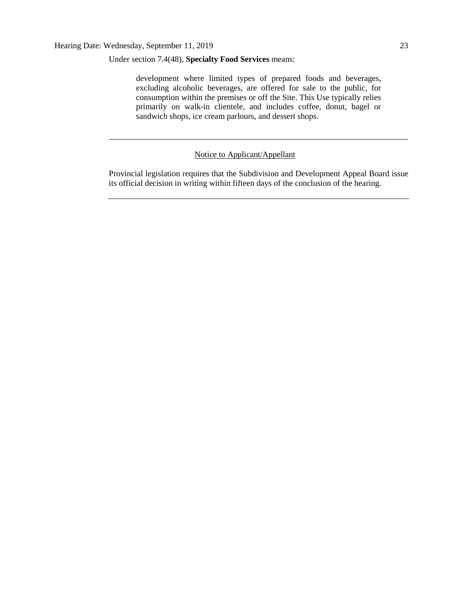Under section 7.4(48), **Specialty Food Services** means:

development where limited types of prepared foods and beverages, excluding alcoholic beverages, are offered for sale to the public, for consumption within the premises or off the Site. This Use typically relies primarily on walk-in clientele, and includes coffee, donut, bagel or sandwich shops, ice cream parlours, and dessert shops.

Notice to Applicant/Appellant

Provincial legislation requires that the Subdivision and Development Appeal Board issue its official decision in writing within fifteen days of the conclusion of the hearing.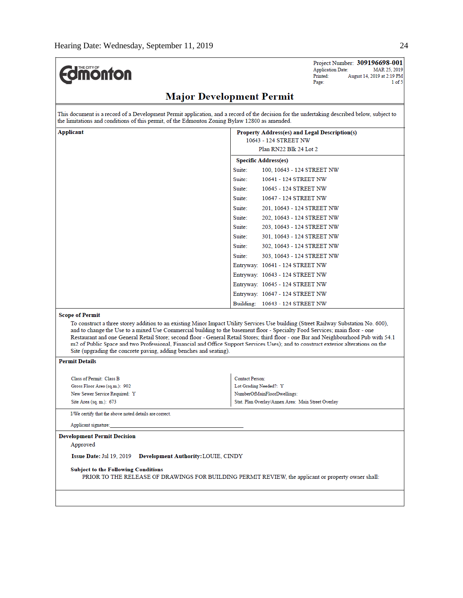| mom |
|-----|
|-----|

Project Number: 309196698-001 Application Date: MAR 25, 2019 August 14, 2019 at 2:19 PM Printed:  $1 of 5$ Page:

# **Major Development Permit**

This document is a record of a Development Permit application, and a record of the decision for the undertaking described below, subject to the limitations and conditions of this permit, of the Edmonton Zoning Bylaw 12800 as amended.

| <b>Applicant</b>                                                                                                                                     | <b>Property Address(es) and Legal Description(s)</b>                                                                                                                                                                                                                       |  |  |  |
|------------------------------------------------------------------------------------------------------------------------------------------------------|----------------------------------------------------------------------------------------------------------------------------------------------------------------------------------------------------------------------------------------------------------------------------|--|--|--|
|                                                                                                                                                      | 10643 - 124 STREET NW                                                                                                                                                                                                                                                      |  |  |  |
| <b>Scope of Permit</b><br>and to change the Use to a mixed Use Commercial building to the basement floor - Specialty Food Services; main floor - one | Plan RN22 Blk 24 Lot 2                                                                                                                                                                                                                                                     |  |  |  |
|                                                                                                                                                      | <b>Specific Address(es)</b>                                                                                                                                                                                                                                                |  |  |  |
|                                                                                                                                                      | Suite:<br>100, 10643 - 124 STREET NW                                                                                                                                                                                                                                       |  |  |  |
|                                                                                                                                                      | Suite:<br>10641 - 124 STREET NW                                                                                                                                                                                                                                            |  |  |  |
|                                                                                                                                                      | Suite:<br>10645 - 124 STREET NW                                                                                                                                                                                                                                            |  |  |  |
|                                                                                                                                                      | Suite:<br>10647 - 124 STREET NW                                                                                                                                                                                                                                            |  |  |  |
|                                                                                                                                                      | Suite:<br>201, 10643 - 124 STREET NW                                                                                                                                                                                                                                       |  |  |  |
|                                                                                                                                                      | Suite:<br>202, 10643 - 124 STREET NW                                                                                                                                                                                                                                       |  |  |  |
|                                                                                                                                                      | Suite:<br>203, 10643 - 124 STREET NW                                                                                                                                                                                                                                       |  |  |  |
|                                                                                                                                                      | Suite:<br>301, 10643 - 124 STREET NW                                                                                                                                                                                                                                       |  |  |  |
|                                                                                                                                                      | Suite:<br>302, 10643 - 124 STREET NW                                                                                                                                                                                                                                       |  |  |  |
|                                                                                                                                                      | Suite:<br>303, 10643 - 124 STREET NW                                                                                                                                                                                                                                       |  |  |  |
|                                                                                                                                                      | Entryway: 10641 - 124 STREET NW                                                                                                                                                                                                                                            |  |  |  |
|                                                                                                                                                      | Entryway: 10643 - 124 STREET NW                                                                                                                                                                                                                                            |  |  |  |
|                                                                                                                                                      | Entryway: 10645 - 124 STREET NW                                                                                                                                                                                                                                            |  |  |  |
|                                                                                                                                                      | Entryway: 10647 - 124 STREET NW                                                                                                                                                                                                                                            |  |  |  |
|                                                                                                                                                      | Building: 10643 - 124 STREET NW                                                                                                                                                                                                                                            |  |  |  |
|                                                                                                                                                      |                                                                                                                                                                                                                                                                            |  |  |  |
|                                                                                                                                                      | To construct a three storey addition to an existing Minor Impact Utility Services Use building (Street Railway Substation No. 600).                                                                                                                                        |  |  |  |
|                                                                                                                                                      | Restaurant and one General Retail Store; second floor - General Retail Stores; third floor - one Bar and Neighbourhood Pub with 54.1<br>m2 of Public Space and two Professional, Financial and Office Support Services Uses); and to construct exterior alterations on the |  |  |  |

of Public Space and two Professional, Fina cial and Office Supp Site (upgrading the concrete paving, adding benches and seating).

### **Permit Details**

| Class of Permit: Class B      | <b>Contact Person:</b>                             |
|-------------------------------|----------------------------------------------------|
| Gross Floor Area (sq.m.): 902 | Lot Grading Needed?: Y                             |
| New Sewer Service Required: Y | NumberOfMainFloorDwellings:                        |
| Site Area (sq. m.): 673       | Stat. Plan Overlay/Annex Area: Main Street Overlay |

I/We certify that the above noted details are correct.

Applicant signature:

#### **Development Permit Decision**

Approved

Issue Date: Jul 19, 2019 Development Authority: LOUIE, CINDY

#### **Subject to the Following Conditions**

PRIOR TO THE RELEASE OF DRAWINGS FOR BUILDING PERMIT REVIEW, the applicant or property owner shall: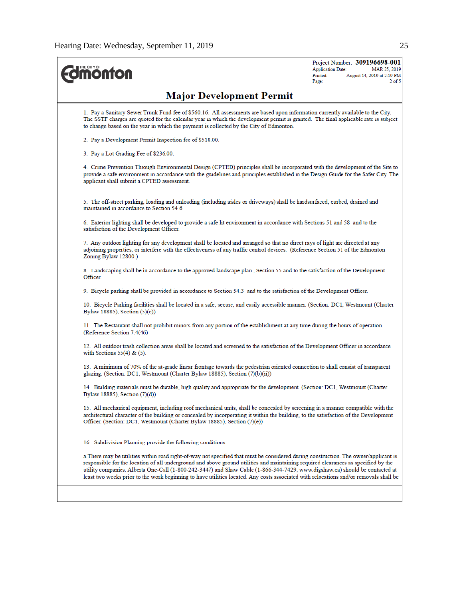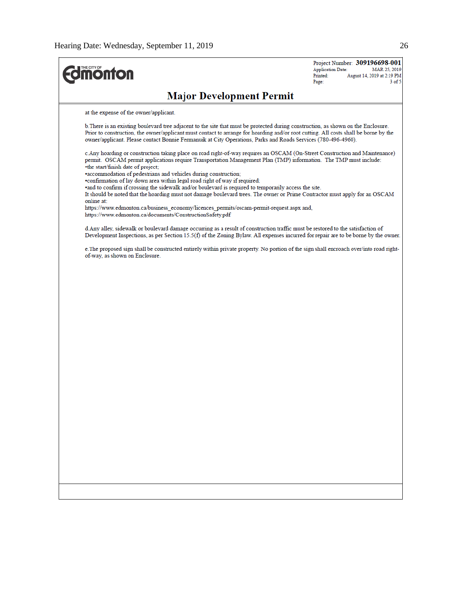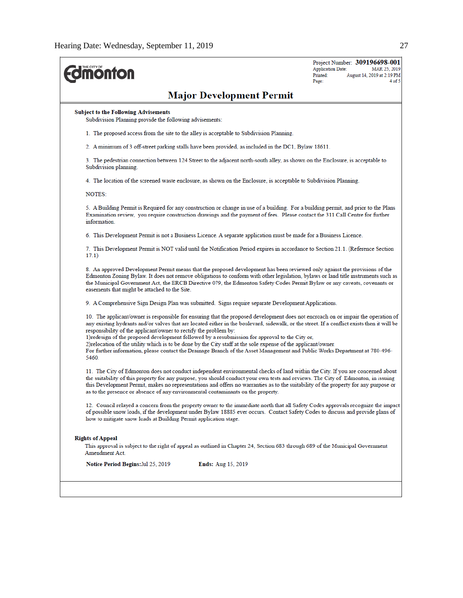| THE CITY OF<br><b>ionton</b>                                                                                                                                                                                                                                                                                                                                                                                                                                                                                                                                                                                                                                                                                      | Project Number: 309196698-001<br><b>Application Date:</b><br>MAR 25, 2019<br>Printed:<br>August 14, 2019 at 2:19 PM<br>4 of 5<br>Page: |
|-------------------------------------------------------------------------------------------------------------------------------------------------------------------------------------------------------------------------------------------------------------------------------------------------------------------------------------------------------------------------------------------------------------------------------------------------------------------------------------------------------------------------------------------------------------------------------------------------------------------------------------------------------------------------------------------------------------------|----------------------------------------------------------------------------------------------------------------------------------------|
| <b>Major Development Permit</b>                                                                                                                                                                                                                                                                                                                                                                                                                                                                                                                                                                                                                                                                                   |                                                                                                                                        |
| <b>Subject to the Following Advisements</b><br>Subdivision Planning provide the following advisements:                                                                                                                                                                                                                                                                                                                                                                                                                                                                                                                                                                                                            |                                                                                                                                        |
| 1. The proposed access from the site to the alley is acceptable to Subdivision Planning.                                                                                                                                                                                                                                                                                                                                                                                                                                                                                                                                                                                                                          |                                                                                                                                        |
| 2. A minimum of 3 off-street parking stalls have been provided, as included in the DC1, Bylaw 18611.                                                                                                                                                                                                                                                                                                                                                                                                                                                                                                                                                                                                              |                                                                                                                                        |
| 3. The pedestrian connection between 124 Street to the adjacent north-south alley, as shown on the Enclosure, is acceptable to<br>Subdivision planning.                                                                                                                                                                                                                                                                                                                                                                                                                                                                                                                                                           |                                                                                                                                        |
| 4. The location of the screened waste enclosure, as shown on the Enclosure, is acceptable to Subdivision Planning.                                                                                                                                                                                                                                                                                                                                                                                                                                                                                                                                                                                                |                                                                                                                                        |
| <b>NOTES:</b>                                                                                                                                                                                                                                                                                                                                                                                                                                                                                                                                                                                                                                                                                                     |                                                                                                                                        |
| 5. A Building Permit is Required for any construction or change in use of a building. For a building permit, and prior to the Plans<br>Examination review, you require construction drawings and the payment of fees. Please contact the 311 Call Centre for further<br>information.                                                                                                                                                                                                                                                                                                                                                                                                                              |                                                                                                                                        |
| 6. This Development Permit is not a Business Licence. A separate application must be made for a Business Licence.                                                                                                                                                                                                                                                                                                                                                                                                                                                                                                                                                                                                 |                                                                                                                                        |
| 7. This Development Permit is NOT valid until the Notification Period expires in accordance to Section 21.1. (Reference Section<br>17.1)                                                                                                                                                                                                                                                                                                                                                                                                                                                                                                                                                                          |                                                                                                                                        |
| 8. An approved Development Permit means that the proposed development has been reviewed only against the provisions of the<br>Edmonton Zoning Bylaw. It does not remove obligations to conform with other legislation, bylaws or land title instruments such as<br>the Municipal Government Act, the ERCB Directive 079, the Edmonton Safety Codes Permit Bylaw or any caveats, covenants or<br>easements that might be attached to the Site.                                                                                                                                                                                                                                                                     |                                                                                                                                        |
| 9. A Comprehensive Sign Design Plan was submitted. Signs require separate Development Applications.                                                                                                                                                                                                                                                                                                                                                                                                                                                                                                                                                                                                               |                                                                                                                                        |
| 10. The applicant/owner is responsible for ensuring that the proposed development does not encroach on or impair the operation of<br>any existing hydrants and/or valves that are located either in the boulevard, sidewalk, or the street. If a conflict exists then it will be<br>responsibility of the applicant/owner to rectify the problem by:<br>1) redesign of the proposed development followed by a resubmission for approval to the City or,<br>2) relocation of the utility which is to be done by the City staff at the sole expense of the applicant/owner.<br>For further information, please contact the Drainage Branch of the Asset Management and Public Works Department at 780-496-<br>5460. |                                                                                                                                        |
| 11. The City of Edmonton does not conduct independent environmental checks of land within the City. If you are concerned about<br>the suitability of this property for any purpose, you should conduct your own tests and reviews. The City of Edmonton, in issuing<br>this Development Permit, makes no representations and offers no warranties as to the suitability of the property for any purpose or<br>as to the presence or absence of any environmental contaminants on the property.                                                                                                                                                                                                                    |                                                                                                                                        |
| 12. Council relayed a concern from the property owner to the immediate north that all Safety Codes approvals recognize the impact<br>of possible snow loads, if the development under Bylaw 18885 ever occurs. Contact Safety Codes to discuss and provide plans of<br>how to mitigate snow loads at Building Permit application stage.                                                                                                                                                                                                                                                                                                                                                                           |                                                                                                                                        |
| <b>Rights of Appeal</b><br>This approval is subject to the right of appeal as outlined in Chapter 24, Section 683 through 689 of the Municipal Government<br>Amendment Act.                                                                                                                                                                                                                                                                                                                                                                                                                                                                                                                                       |                                                                                                                                        |
| <b>Notice Period Begins: Jul 25, 2019</b><br><b>Ends:</b> Aug 15, 2019                                                                                                                                                                                                                                                                                                                                                                                                                                                                                                                                                                                                                                            |                                                                                                                                        |
|                                                                                                                                                                                                                                                                                                                                                                                                                                                                                                                                                                                                                                                                                                                   |                                                                                                                                        |
|                                                                                                                                                                                                                                                                                                                                                                                                                                                                                                                                                                                                                                                                                                                   |                                                                                                                                        |
|                                                                                                                                                                                                                                                                                                                                                                                                                                                                                                                                                                                                                                                                                                                   |                                                                                                                                        |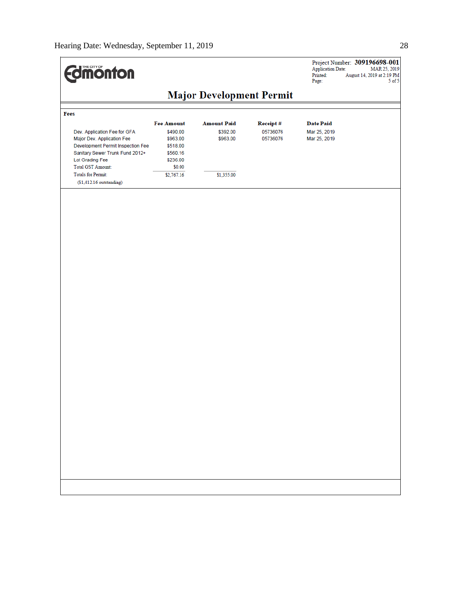$\overline{a}$ 

| <b>Major Development Permit</b><br>Fees<br><b>Fee Amount</b><br><b>Amount Paid</b><br><b>Date Paid</b><br><b>Receipt#</b><br>Dev. Application Fee for GFA<br>\$490.00<br>\$392.00<br>05736076<br>Mar 25, 2019<br>Major Dev. Application Fee<br>Mar 25, 2019<br>\$963.00<br>\$963.00<br>05736076<br>Development Permit Inspection Fee<br>\$518.00<br>Sanitary Sewer Trunk Fund 2012+<br>\$560.16<br>Lot Grading Fee<br>\$236.00<br><b>Total GST Amount:</b><br>\$0.00<br><b>Totals for Permit:</b><br>\$2,767.16<br>\$1,355.00<br>$($1,412.16$ outstanding) | <b>difficination</b> |  | Project Number: 309196698-001<br><b>Application Date:</b><br>Printed:<br>August 14, 2019 at 2:19 PM<br>Page: | MAR 25, 2019<br>$5$ of $5$ |
|------------------------------------------------------------------------------------------------------------------------------------------------------------------------------------------------------------------------------------------------------------------------------------------------------------------------------------------------------------------------------------------------------------------------------------------------------------------------------------------------------------------------------------------------------------|----------------------|--|--------------------------------------------------------------------------------------------------------------|----------------------------|
|                                                                                                                                                                                                                                                                                                                                                                                                                                                                                                                                                            |                      |  |                                                                                                              |                            |
|                                                                                                                                                                                                                                                                                                                                                                                                                                                                                                                                                            |                      |  |                                                                                                              |                            |
|                                                                                                                                                                                                                                                                                                                                                                                                                                                                                                                                                            |                      |  |                                                                                                              |                            |
|                                                                                                                                                                                                                                                                                                                                                                                                                                                                                                                                                            |                      |  |                                                                                                              |                            |
|                                                                                                                                                                                                                                                                                                                                                                                                                                                                                                                                                            |                      |  |                                                                                                              |                            |
|                                                                                                                                                                                                                                                                                                                                                                                                                                                                                                                                                            |                      |  |                                                                                                              |                            |
|                                                                                                                                                                                                                                                                                                                                                                                                                                                                                                                                                            |                      |  |                                                                                                              |                            |
|                                                                                                                                                                                                                                                                                                                                                                                                                                                                                                                                                            |                      |  |                                                                                                              |                            |
|                                                                                                                                                                                                                                                                                                                                                                                                                                                                                                                                                            |                      |  |                                                                                                              |                            |
|                                                                                                                                                                                                                                                                                                                                                                                                                                                                                                                                                            |                      |  |                                                                                                              |                            |
|                                                                                                                                                                                                                                                                                                                                                                                                                                                                                                                                                            |                      |  |                                                                                                              |                            |